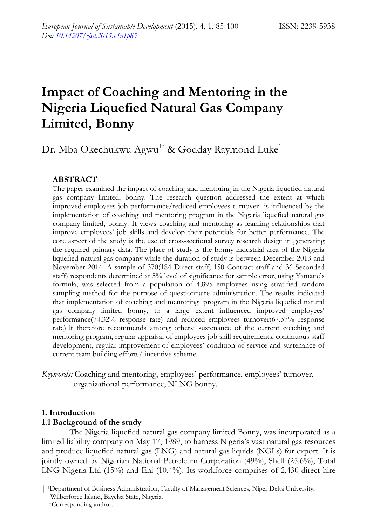# **Impact of Coaching and Mentoring in the Nigeria Liquefied Natural Gas Company Limited, Bonny**

## Dr. Mba Okechukwu Agwu<sup>1\*</sup> & Godday Raymond Luke<sup>1</sup>

## **ABSTRACT**

The paper examined the impact of coaching and mentoring in the Nigeria liquefied natural gas company limited, bonny. The research question addressed the extent at which improved employees job performance/reduced employees turnover is influenced by the implementation of coaching and mentoring program in the Nigeria liquefied natural gas company limited, bonny. It views coaching and mentoring as learning relationships that improve employees' job skills and develop their potentials for better performance. The core aspect of the study is the use of cross-sectional survey research design in generating the required primary data. The place of study is the bonny industrial area of the Nigeria liquefied natural gas company while the duration of study is between December 2013 and November 2014. A sample of 370(184 Direct staff, 150 Contract staff and 36 Seconded staff) respondents determined at 5% level of significance for sample error, using Yamane's formula, was selected from a population of 4,895 employees using stratified random sampling method for the purpose of questionnaire administration. The results indicated that implementation of coaching and mentoring program in the Nigeria liquefied natural gas company limited bonny, to a large extent influenced improved employees' performance(74.32% response rate) and reduced employees turnover(67.57% response rate).It therefore recommends among others: sustenance of the current coaching and mentoring program, regular appraisal of employees job skill requirements, continuous staff development, regular improvement of employees' condition of service and sustenance of current team building efforts/ incentive scheme.

*Keywords:* Coaching and mentoring, employees' performance, employees' turnover, organizational performance, NLNG bonny.

#### **1. Introduction**

#### **1.1 Background of the study**

The Nigeria liquefied natural gas company limited Bonny, was incorporated as a limited liability company on May 17, 1989, to harness Nigeria's vast natural gas resources and produce liquefied natural gas (LNG) and natural gas liquids (NGLs) for export. It is jointly owned by Nigerian National Petroleum Corporation (49%), Shell (25.6%), Total LNG Nigeria Ltd (15%) and Eni (10.4%). Its workforce comprises of 2,430 direct hire

\*Corresponding author.

<sup>| 1</sup>Department of Business Administration, Faculty of Management Sciences, Niger Delta University, Wilberforce Island, Bayelsa State, Nigeria.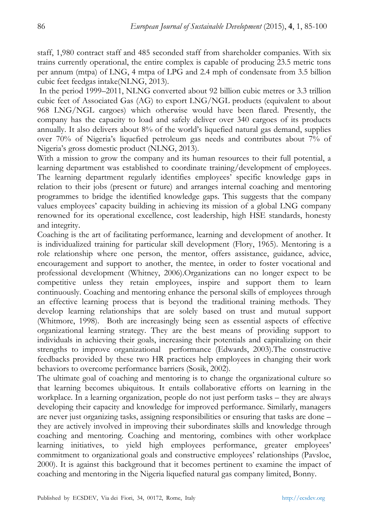staff, 1,980 contract staff and 485 seconded staff from shareholder companies. With six trains currently operational, the entire complex is capable of producing 23.5 metric tons per annum (mtpa) of LNG, 4 mtpa of LPG and 2.4 mph of condensate from 3.5 billion cubic feet feedgas intake(NLNG, 2013).

 In the period 1999–2011, NLNG converted about 92 billion cubic metres or 3.3 trillion cubic feet of Associated Gas (AG) to export LNG/NGL products (equivalent to about 968 LNG/NGL cargoes) which otherwise would have been flared. Presently, the company has the capacity to load and safely deliver over 340 cargoes of its products annually. It also delivers about 8% of the world's liquefied natural gas demand, supplies over 70% of Nigeria's liquefied petroleum gas needs and contributes about 7% of Nigeria's gross domestic product (NLNG, 2013).

With a mission to grow the company and its human resources to their full potential, a learning department was established to coordinate training/development of employees. The learning department regularly identifies employees' specific knowledge gaps in relation to their jobs (present or future) and arranges internal coaching and mentoring programmes to bridge the identified knowledge gaps. This suggests that the company values employees' capacity building in achieving its mission of a global LNG company renowned for its operational excellence, cost leadership, high HSE standards, honesty and integrity.

Coaching is the art of facilitating performance, learning and development of another. It is individualized training for particular skill development (Flory, 1965). Mentoring is a role relationship where one person, the mentor, offers assistance, guidance, advice, encouragement and support to another, the mentee, in order to foster vocational and professional development (Whitney, 2006).Organizations can no longer expect to be competitive unless they retain employees, inspire and support them to learn continuously. Coaching and mentoring enhance the personal skills of employees through an effective learning process that is beyond the traditional training methods. They develop learning relationships that are solely based on trust and mutual support (Whitmore, 1998). Both are increasingly being seen as essential aspects of effective organizational learning strategy. They are the best means of providing support to individuals in achieving their goals, increasing their potentials and capitalizing on their strengths to improve organizational performance (Edwards, 2003).The constructive feedbacks provided by these two HR practices help employees in changing their work behaviors to overcome performance barriers (Sosik, 2002).

The ultimate goal of coaching and mentoring is to change the organizational culture so that learning becomes ubiquitous. It entails collaborative efforts on learning in the workplace. In a learning organization, people do not just perform tasks – they are always developing their capacity and knowledge for improved performance. Similarly, managers are never just organizing tasks, assigning responsibilities or ensuring that tasks are done – they are actively involved in improving their subordinates skills and knowledge through coaching and mentoring. Coaching and mentoring, combines with other workplace learning initiatives, to yield high employees performance, greater employees' commitment to organizational goals and constructive employees' relationships (Pavsloe, 2000). It is against this background that it becomes pertinent to examine the impact of coaching and mentoring in the Nigeria liquefied natural gas company limited, Bonny.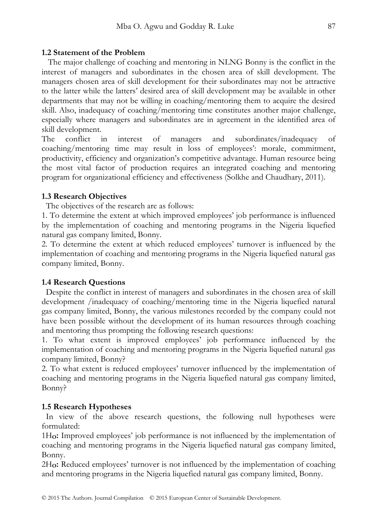#### **1.2 Statement of the Problem**

 The major challenge of coaching and mentoring in NLNG Bonny is the conflict in the interest of managers and subordinates in the chosen area of skill development. The managers chosen area of skill development for their subordinates may not be attractive to the latter while the latters' desired area of skill development may be available in other departments that may not be willing in coaching/mentoring them to acquire the desired skill. Also, inadequacy of coaching/mentoring time constitutes another major challenge, especially where managers and subordinates are in agreement in the identified area of skill development.

The conflict in interest of managers and subordinates/inadequacy of coaching/mentoring time may result in loss of employees': morale, commitment, productivity, efficiency and organization's competitive advantage. Human resource being the most vital factor of production requires an integrated coaching and mentoring program for organizational efficiency and effectiveness (Solkhe and Chaudhary, 2011).

#### **1.3 Research Objectives**

The objectives of the research are as follows:

1. To determine the extent at which improved employees' job performance is influenced by the implementation of coaching and mentoring programs in the Nigeria liquefied natural gas company limited, Bonny.

2. To determine the extent at which reduced employees' turnover is influenced by the implementation of coaching and mentoring programs in the Nigeria liquefied natural gas company limited, Bonny.

## **1.4 Research Questions**

 Despite the conflict in interest of managers and subordinates in the chosen area of skill development /inadequacy of coaching/mentoring time in the Nigeria liquefied natural gas company limited, Bonny, the various milestones recorded by the company could not have been possible without the development of its human resources through coaching and mentoring thus prompting the following research questions:

1. To what extent is improved employees' job performance influenced by the implementation of coaching and mentoring programs in the Nigeria liquefied natural gas company limited, Bonny?

2. To what extent is reduced employees' turnover influenced by the implementation of coaching and mentoring programs in the Nigeria liquefied natural gas company limited, Bonny?

## **1.5 Research Hypotheses**

 In view of the above research questions, the following null hypotheses were formulated:

1H**O:** Improved employees' job performance is not influenced by the implementation of coaching and mentoring programs in the Nigeria liquefied natural gas company limited, Bonny.

2H**O:** Reduced employees' turnover is not influenced by the implementation of coaching and mentoring programs in the Nigeria liquefied natural gas company limited, Bonny.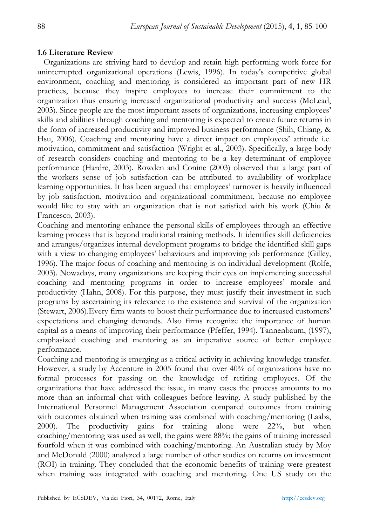#### **1.6 Literature Review**

 Organizations are striving hard to develop and retain high performing work force for uninterrupted organizational operations (Lewis, 1996). In today's competitive global environment, coaching and mentoring is considered an important part of new HR practices, because they inspire employees to increase their commitment to the organization thus ensuring increased organizational productivity and success (McLead, 2003). Since people are the most important assets of organizations, increasing employees' skills and abilities through coaching and mentoring is expected to create future returns in the form of increased productivity and improved business performance (Shih, Chiang, & Hsu, 2006). Coaching and mentoring have a direct impact on employees' attitude i.e. motivation, commitment and satisfaction (Wright et al., 2003). Specifically, a large body of research considers coaching and mentoring to be a key determinant of employee performance (Hardre, 2003). Rowden and Conine (2003) observed that a large part of the workers sense of job satisfaction can be attributed to availability of workplace learning opportunities. It has been argued that employees' turnover is heavily influenced by job satisfaction, motivation and organizational commitment, because no employee would like to stay with an organization that is not satisfied with his work (Chiu & Francesco, 2003).

Coaching and mentoring enhance the personal skills of employees through an effective learning process that is beyond traditional training methods. It identifies skill deficiencies and arranges/organizes internal development programs to bridge the identified skill gaps with a view to changing employees' behaviours and improving job performance (Gilley, 1996). The major focus of coaching and mentoring is on individual development (Rolfe, 2003). Nowadays, many organizations are keeping their eyes on implementing successful coaching and mentoring programs in order to increase employees' morale and productivity (Hahn, 2008). For this purpose, they must justify their investment in such programs by ascertaining its relevance to the existence and survival of the organization (Stewart, 2006).Every firm wants to boost their performance due to increased customers' expectations and changing demands. Also firms recognize the importance of human capital as a means of improving their performance (Pfeffer, 1994). Tannenbaum, (1997), emphasized coaching and mentoring as an imperative source of better employee performance.

Coaching and mentoring is emerging as a critical activity in achieving knowledge transfer. However, a study by Accenture in 2005 found that over 40% of organizations have no formal processes for passing on the knowledge of retiring employees. Of the organizations that have addressed the issue, in many cases the process amounts to no more than an informal chat with colleagues before leaving. A study published by the International Personnel Management Association compared outcomes from training with outcomes obtained when training was combined with coaching/mentoring (Laabs, 2000). The productivity gains for training alone were 22%, but when coaching/mentoring was used as well, the gains were 88%; the gains of training increased fourfold when it was combined with coaching/mentoring. An Australian study by Moy and McDonald (2000) analyzed a large number of other studies on returns on investment (ROI) in training. They concluded that the economic benefits of training were greatest when training was integrated with coaching and mentoring. One US study on the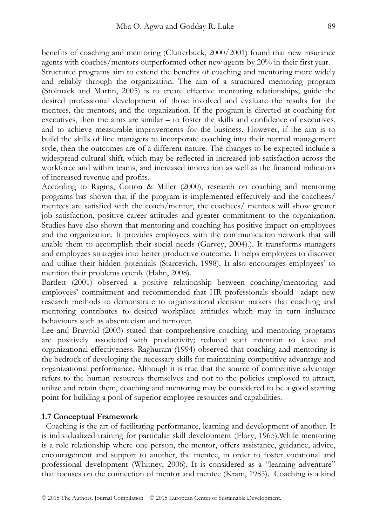benefits of coaching and mentoring (Clutterbuck, 2000/2001) found that new insurance agents with coaches/mentors outperformed other new agents by 20% in their first year.

Structured programs aim to extend the benefits of coaching and mentoring more widely and reliably through the organization. The aim of a structured mentoring program (Stolmack and Martin, 2005) is to create effective mentoring relationships, guide the desired professional development of those involved and evaluate the results for the mentees, the mentors, and the organization. If the program is directed at coaching for executives, then the aims are similar – to foster the skills and confidence of executives, and to achieve measurable improvements for the business. However, if the aim is to build the skills of line managers to incorporate coaching into their normal management style, then the outcomes are of a different nature. The changes to be expected include a widespread cultural shift, which may be reflected in increased job satisfaction across the workforce and within teams, and increased innovation as well as the financial indicators of increased revenue and profits.

According to Ragins, Cotton & Miller (2000), research on coaching and mentoring programs has shown that if the program is implemented effectively and the coachees/ mentees are satisfied with the coach/mentor, the coachees/ mentees will show greater job satisfaction, positive career attitudes and greater commitment to the organization. Studies have also shown that mentoring and coaching has positive impact on employees and the organization. It provides employees with the communication network that will enable them to accomplish their social needs (Garvey, 2004).). It transforms managers and employees strategies into better productive outcome. It helps employees to discover and utilize their hidden potentials (Starcevich, 1998). It also encourages employees' to mention their problems openly (Hahn, 2008).

Bartlett (2001) observed a positive relationship between coaching/mentoring and employees' commitment and recommended that HR professionals should adapt new research methods to demonstrate to organizational decision makers that coaching and mentoring contributes to desired workplace attitudes which may in turn influence behaviours such as absenteeism and turnover.

Lee and Bruvold (2003) stated that comprehensive coaching and mentoring programs are positively associated with productivity; reduced staff intention to leave and organizational effectiveness. Raghuram (1994) observed that coaching and mentoring is the bedrock of developing the necessary skills for maintaining competitive advantage and organizational performance. Although it is true that the source of competitive advantage refers to the human resources themselves and not to the policies employed to attract, utilize and retain them, coaching and mentoring may be considered to be a good starting point for building a pool of superior employee resources and capabilities.

#### **1.7 Conceptual Framework**

 Coaching is the art of facilitating performance, learning and development of another. It is individualized training for particular skill development (Flory, 1965).While mentoring is a role relationship where one person, the mentor, offers assistance, guidance, advice, encouragement and support to another, the mentee, in order to foster vocational and professional development (Whitney, 2006). It is considered as a "learning adventure" that focuses on the connection of mentor and mentee (Kram, 1985). Coaching is a kind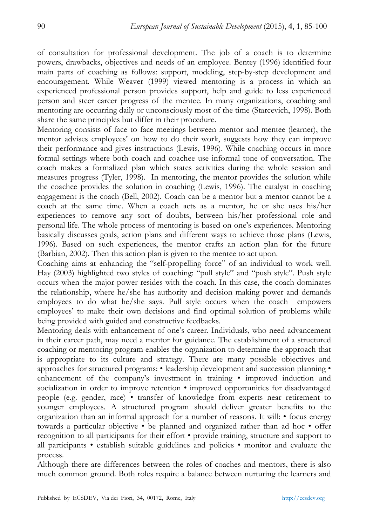of consultation for professional development. The job of a coach is to determine powers, drawbacks, objectives and needs of an employee. Bentey (1996) identified four main parts of coaching as follows: support, modeling, step-by-step development and encouragement. While Weaver (1999) viewed mentoring is a process in which an experienced professional person provides support, help and guide to less experienced person and steer career progress of the mentee. In many organizations, coaching and mentoring are occurring daily or unconsciously most of the time (Starcevich, 1998). Both share the same principles but differ in their procedure.

Mentoring consists of face to face meetings between mentor and mentee (learner), the mentor advises employees' on how to do their work, suggests how they can improve their performance and gives instructions (Lewis, 1996). While coaching occurs in more formal settings where both coach and coachee use informal tone of conversation. The coach makes a formalized plan which states activities during the whole session and measures progress (Tyler, 1998). In mentoring, the mentor provides the solution while the coachee provides the solution in coaching (Lewis, 1996). The catalyst in coaching engagement is the coach (Bell, 2002). Coach can be a mentor but a mentor cannot be a coach at the same time. When a coach acts as a mentor, he or she uses his/her experiences to remove any sort of doubts, between his/her professional role and personal life. The whole process of mentoring is based on one's experiences. Mentoring basically discusses goals, action plans and different ways to achieve those plans (Lewis, 1996). Based on such experiences, the mentor crafts an action plan for the future (Barbian, 2002). Then this action plan is given to the mentee to act upon.

Coaching aims at enhancing the "self-propelling force" of an individual to work well. Hay (2003) highlighted two styles of coaching: "pull style" and "push style". Push style occurs when the major power resides with the coach. In this case, the coach dominates the relationship, where he/she has authority and decision making power and demands employees to do what he/she says. Pull style occurs when the coach empowers employees' to make their own decisions and find optimal solution of problems while being provided with guided and constructive feedbacks.

Mentoring deals with enhancement of one's career. Individuals, who need advancement in their career path, may need a mentor for guidance. The establishment of a structured coaching or mentoring program enables the organization to determine the approach that is appropriate to its culture and strategy. There are many possible objectives and approaches for structured programs: • leadership development and succession planning • enhancement of the company's investment in training • improved induction and socialization in order to improve retention • improved opportunities for disadvantaged people (e.g. gender, race) • transfer of knowledge from experts near retirement to younger employees. A structured program should deliver greater benefits to the organization than an informal approach for a number of reasons. It will: • focus energy towards a particular objective • be planned and organized rather than ad hoc • offer recognition to all participants for their effort • provide training, structure and support to all participants • establish suitable guidelines and policies • monitor and evaluate the process.

Although there are differences between the roles of coaches and mentors, there is also much common ground. Both roles require a balance between nurturing the learners and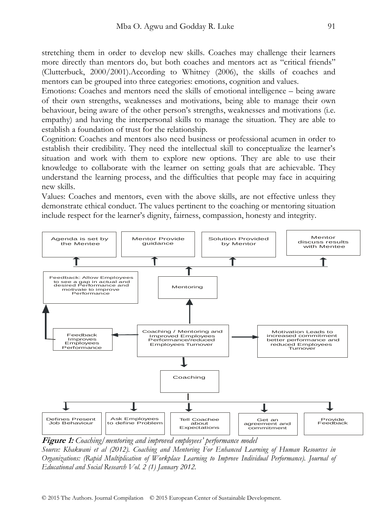stretching them in order to develop new skills. Coaches may challenge their learners more directly than mentors do, but both coaches and mentors act as "critical friends" (Clutterbuck, 2000/2001).According to Whitney (2006), the skills of coaches and mentors can be grouped into three categories: emotions, cognition and values.

Emotions: Coaches and mentors need the skills of emotional intelligence – being aware of their own strengths, weaknesses and motivations, being able to manage their own behaviour, being aware of the other person's strengths, weaknesses and motivations (i.e. empathy) and having the interpersonal skills to manage the situation. They are able to establish a foundation of trust for the relationship.

Cognition: Coaches and mentors also need business or professional acumen in order to establish their credibility. They need the intellectual skill to conceptualize the learner's situation and work with them to explore new options. They are able to use their knowledge to collaborate with the learner on setting goals that are achievable. They understand the learning process, and the difficulties that people may face in acquiring new skills.

Values: Coaches and mentors, even with the above skills, are not effective unless they demonstrate ethical conduct. The values pertinent to the coaching or mentoring situation include respect for the learner's dignity, fairness, compassion, honesty and integrity.



**Figure 1:** *Coaching/mentoring and improved employees' performance model Source: Khakwani et al (2012). Coaching and Mentoring For Enhanced Learning of Human Resources in Organizations: (Rapid Multiplication of Workplace Learning to Improve Individual Performance). Journal of Educational and Social Research Vol. 2 (1) January 2012.*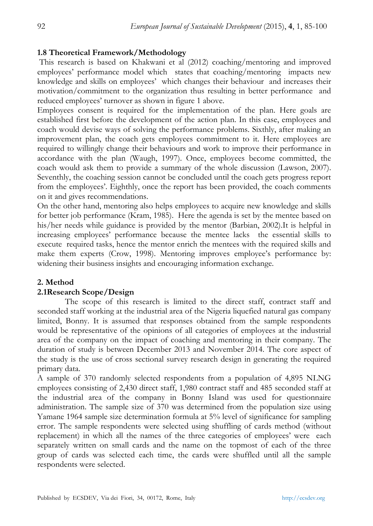## **1.8 Theoretical Framework/Methodology**

 This research is based on Khakwani et al (2012) coaching/mentoring and improved employees' performance model which states that coaching/mentoring impacts new knowledge and skills on employees' which changes their behaviour and increases their motivation/commitment to the organization thus resulting in better performance and reduced employees' turnover as shown in figure 1 above.

Employees consent is required for the implementation of the plan. Here goals are established first before the development of the action plan. In this case, employees and coach would devise ways of solving the performance problems. Sixthly, after making an improvement plan, the coach gets employees commitment to it. Here employees are required to willingly change their behaviours and work to improve their performance in accordance with the plan (Waugh, 1997). Once, employees become committed, the coach would ask them to provide a summary of the whole discussion (Lawson, 2007). Seventhly, the coaching session cannot be concluded until the coach gets progress report from the employees'. Eighthly, once the report has been provided, the coach comments on it and gives recommendations.

On the other hand, mentoring also helps employees to acquire new knowledge and skills for better job performance (Kram, 1985). Here the agenda is set by the mentee based on his/her needs while guidance is provided by the mentor (Barbian, 2002).It is helpful in increasing employees' performance because the mentee lacks the essential skills to execute required tasks, hence the mentor enrich the mentees with the required skills and make them experts (Crow, 1998). Mentoring improves employee's performance by: widening their business insights and encouraging information exchange.

## **2. Method**

#### **2.1Research Scope/Design**

The scope of this research is limited to the direct staff, contract staff and seconded staff working at the industrial area of the Nigeria liquefied natural gas company limited, Bonny. It is assumed that responses obtained from the sample respondents would be representative of the opinions of all categories of employees at the industrial area of the company on the impact of coaching and mentoring in their company. The duration of study is between December 2013 and November 2014. The core aspect of the study is the use of cross sectional survey research design in generating the required primary data.

A sample of 370 randomly selected respondents from a population of 4,895 NLNG employees consisting of 2,430 direct staff, 1,980 contract staff and 485 seconded staff at the industrial area of the company in Bonny Island was used for questionnaire administration. The sample size of 370 was determined from the population size using Yamane 1964 sample size determination formula at 5% level of significance for sampling error. The sample respondents were selected using shuffling of cards method (without replacement) in which all the names of the three categories of employees' were each separately written on small cards and the name on the topmost of each of the three group of cards was selected each time, the cards were shuffled until all the sample respondents were selected.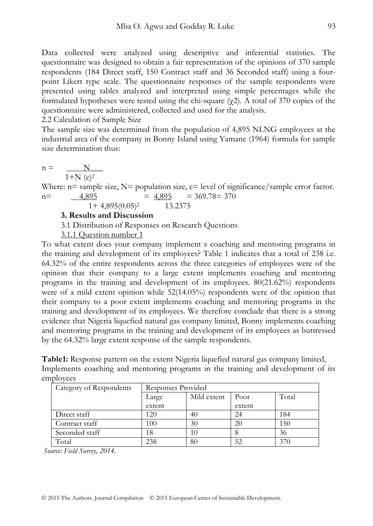Data collected were analyzed using descriptive and inferential statistics. The questionnaire was designed to obtain a fair representation of the opinions of 370 sample respondents (184 Direct staff, 150 Contract staff and 36 Seconded staff) using a fourpoint Likert type scale. The questionnaire responses of the sample respondents were presented using tables analyzed and interpreted using simple percentages while the formulated hypotheses were tested using the chi-square ( $\gamma$ 2). A total of 370 copies of the questionnaire were administered, collected and used for the analysis.

2.2 Calculation of Sample Size

The sample size was determined from the population of 4,895 NLNG employees at the industrial area of the company in Bonny Island using Yamane (1964) formula for sample size determination thus:

$$
n = \frac{N}{1 + N (e)^2}
$$

Where:  $n=$  sample size,  $N=$  population size,  $e=$  level of significance/sample error factor.  $n =$   $4,895$   $= 4,895$   $= 369.78 = 370$ 

$$
1 + 4,895(0.05)^2 \qquad \qquad 13.2375
$$

**3. Results and Discussion**

3.1 Distribution of Responses on Research Questions

3.1.1 Question number 1

To what extent does your company implement s coaching and mentoring programs in the training and development of its employees? Table 1 indicates that a total of 238 i.e. 64.32% of the entire respondents across the three categories of employees were of the opinion that their company to a large extent implements coaching and mentoring programs in the training and development of its employees. 80(21.62%) respondents were of a mild extent opinion while 52(14.05%) respondents were of the opinion that their company to a poor extent implements coaching and mentoring programs in the training and development of its employees. We therefore conclude that there is a strong evidence that Nigeria liquefied natural gas company limited, Bonny implements coaching and mentoring programs in the training and development of its employees as buttressed by the 64.32% large extent response of the sample respondents.

**Table1:** Response pattern on the extent Nigeria liquefied natural gas company limited, Implements coaching and mentoring programs in the training and development of its employees

| Category of Respondents | Responses Provided                    |    |        |     |
|-------------------------|---------------------------------------|----|--------|-----|
|                         | Total<br>Mild extent<br>Poor<br>Large |    |        |     |
|                         | extent                                |    | extent |     |
| Direct staff            | 120                                   | 40 | 24     | 184 |
| Contract staff          | 100                                   | 30 | 20     | 150 |
| Seconded staff          | 18                                    | 10 |        | 36  |
| Total                   | 238                                   | 80 | 52     | 376 |

 *Source: Field Survey, 2014.*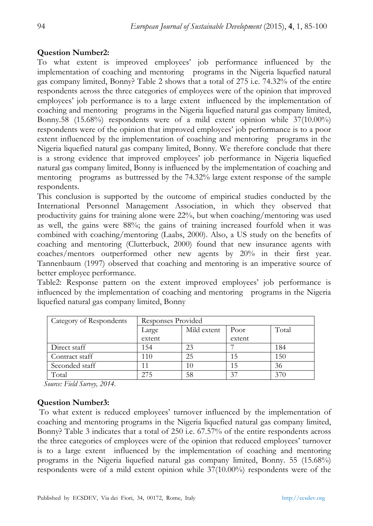### **Question Number2:**

To what extent is improved employees' job performance influenced by the implementation of coaching and mentoring programs in the Nigeria liquefied natural gas company limited, Bonny? Table 2 shows that a total of 275 i.e. 74.32% of the entire respondents across the three categories of employees were of the opinion that improved employees' job performance is to a large extent influenced by the implementation of coaching and mentoring programs in the Nigeria liquefied natural gas company limited, Bonny.58 (15.68%) respondents were of a mild extent opinion while 37(10.00%) respondents were of the opinion that improved employees' job performance is to a poor extent influenced by the implementation of coaching and mentoring programs in the Nigeria liquefied natural gas company limited, Bonny. We therefore conclude that there is a strong evidence that improved employees' job performance in Nigeria liquefied natural gas company limited, Bonny is influenced by the implementation of coaching and mentoring programs as buttressed by the 74.32% large extent response of the sample respondents.

This conclusion is supported by the outcome of empirical studies conducted by the International Personnel Management Association, in which they observed that productivity gains for training alone were 22%, but when coaching/mentoring was used as well, the gains were 88%; the gains of training increased fourfold when it was combined with coaching/mentoring (Laabs, 2000). Also, a US study on the benefits of coaching and mentoring (Clutterbuck, 2000) found that new insurance agents with coaches/mentors outperformed other new agents by 20% in their first year. Tannenbaum (1997) observed that coaching and mentoring is an imperative source of better employee performance.

Table2: Response pattern on the extent improved employees' job performance is influenced by the implementation of coaching and mentoring programs in the Nigeria liquefied natural gas company limited, Bonny

| Category of Respondents | Responses Provided                              |    |        |     |
|-------------------------|-------------------------------------------------|----|--------|-----|
|                         | Total<br>Mild extent<br>Poor<br>Large<br>extent |    |        |     |
|                         |                                                 |    | extent |     |
| Direct staff            | 154                                             | 23 |        | 184 |
| Contract staff          | 110                                             | 25 |        | 150 |
| Seconded staff          |                                                 | 10 |        | 36  |
| Total                   |                                                 | 58 | 37     | 370 |

*Source: Field Survey, 2014.* 

## **Question Number3:**

 To what extent is reduced employees' turnover influenced by the implementation of coaching and mentoring programs in the Nigeria liquefied natural gas company limited, Bonny? Table 3 indicates that a total of 250 i.e. 67.57% of the entire respondents across the three categories of employees were of the opinion that reduced employees' turnover is to a large extent influenced by the implementation of coaching and mentoring programs in the Nigeria liquefied natural gas company limited, Bonny. 55 (15.68%) respondents were of a mild extent opinion while 37(10.00%) respondents were of the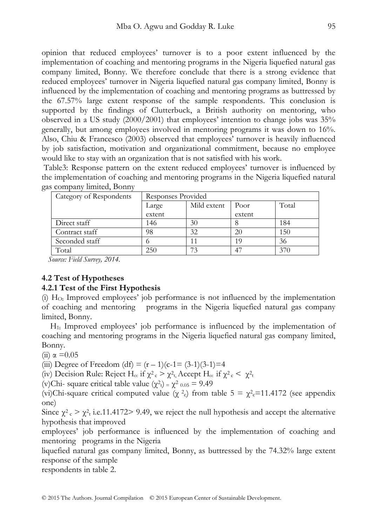opinion that reduced employees' turnover is to a poor extent influenced by the implementation of coaching and mentoring programs in the Nigeria liquefied natural gas company limited, Bonny. We therefore conclude that there is a strong evidence that reduced employees' turnover in Nigeria liquefied natural gas company limited, Bonny is influenced by the implementation of coaching and mentoring programs as buttressed by the 67.57% large extent response of the sample respondents. This conclusion is supported by the findings of Clutterbuck, a British authority on mentoring, who observed in a US study (2000/2001) that employees' intention to change jobs was 35% generally, but among employees involved in mentoring programs it was down to 16%. Also, Chiu & Francesco (2003) observed that employees' turnover is heavily influenced by job satisfaction, motivation and organizational commitment, because no employee would like to stay with an organization that is not satisfied with his work.

 Table3: Response pattern on the extent reduced employees' turnover is influenced by the implementation of coaching and mentoring programs in the Nigeria liquefied natural gas company limited, Bonny

| Category of Respondents | Responses Provided                              |    |        |     |
|-------------------------|-------------------------------------------------|----|--------|-----|
|                         | Total<br>Mild extent<br>Poor<br>Large<br>extent |    |        |     |
|                         |                                                 |    | extent |     |
| Direct staff            | 146                                             | 30 |        | 184 |
| Contract staff          | 98                                              | 32 | 20     | 150 |
| Seconded staff          |                                                 |    | 19     | 36  |
| Total                   | 250                                             |    | -47    |     |

*Source: Field Survey, 2014.* 

## **4.2 Test of Hypotheses**

#### **4.2.1 Test of the First Hypothesis**

(i) HO**:** Improved employees' job performance is not influenced by the implementation of coaching and mentoring programs in the Nigeria liquefied natural gas company limited, Bonny.

H1**:** Improved employees' job performance is influenced by the implementation of coaching and mentoring programs in the Nigeria liquefied natural gas company limited, Bonny.

(ii)  $\alpha$  = 0.05

(iii) Degree of Freedom (df) =  $(r - 1)(c-1) = (3-1)(3-1) = 4$ 

(iv) Decision Rule: Reject H<sub>o:</sub> if  $\chi^2 c > \chi^2 t$ , Accept H<sub>o:</sub> if  $\chi^2 c < \chi^2 t$ 

(v)Chi- square critical table value  $(\chi^2_t) = \chi^2_{0.05} = 9.49$ 

(vi)Chi-square critical computed value ( $\chi^2$ c) from table 5 =  $\chi^2$ c=11.4172 (see appendix one)

Since  $\chi^2$ <sub>c</sub> >  $\chi^2$ <sub>t</sub> i.e.11.4172> 9.49, we reject the null hypothesis and accept the alternative hypothesis that improved

employees' job performance is influenced by the implementation of coaching and mentoring programs in the Nigeria

liquefied natural gas company limited, Bonny, as buttressed by the 74.32% large extent response of the sample

respondents in table 2.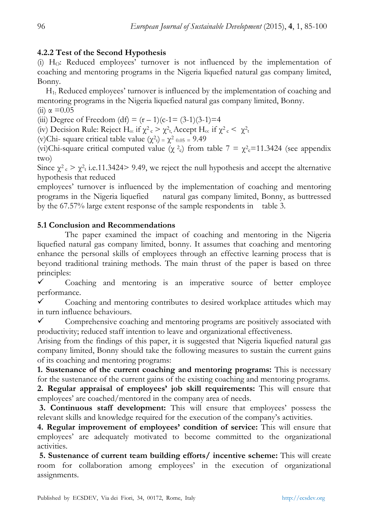## **4.2.2 Test of the Second Hypothesis**

(i) HO: Reduced employees' turnover is not influenced by the implementation of coaching and mentoring programs in the Nigeria liquefied natural gas company limited, Bonny.

 H1**:** Reduced employees' turnover is influenced by the implementation of coaching and mentoring programs in the Nigeria liquefied natural gas company limited, Bonny. (ii)  $\alpha$  = 0.05

(iii) Degree of Freedom (df) =  $(r - 1)(c-1) = (3-1)(3-1) = 4$ 

(iv) Decision Rule: Reject H<sub>o:</sub> if  $\chi^2 c > \chi^2 t$ , Accept H<sub>o:</sub> if  $\chi^2 c < \chi^2 t$ 

(v)Chi- square critical table value  $(\chi^2_t) = \chi^2$  0.05 = 9.49

(vi)Chi-square critical computed value ( $\chi^2$ c) from table 7 =  $\chi^2$ c=11.3424 (see appendix two)

Since  $\chi^2$ <sub>c</sub>  $> \chi^2$ <sub>t</sub> i.e.11.3424> 9.49, we reject the null hypothesis and accept the alternative hypothesis that reduced

employees' turnover is influenced by the implementation of coaching and mentoring programs in the Nigeria liquefied natural gas company limited, Bonny, as buttressed by the 67.57% large extent response of the sample respondents in table 3.

## **5.1 Conclusion and Recommendations**

The paper examined the impact of coaching and mentoring in the Nigeria liquefied natural gas company limited, bonny. It assumes that coaching and mentoring enhance the personal skills of employees through an effective learning process that is beyond traditional training methods. The main thrust of the paper is based on three principles:

 $\checkmark$  Coaching and mentoring is an imperative source of better employee performance.

 $\checkmark$  Coaching and mentoring contributes to desired workplace attitudes which may in turn influence behaviours.

Comprehensive coaching and mentoring programs are positively associated with productivity; reduced staff intention to leave and organizational effectiveness.

Arising from the findings of this paper, it is suggested that Nigeria liquefied natural gas company limited, Bonny should take the following measures to sustain the current gains of its coaching and mentoring programs:

**1. Sustenance of the current coaching and mentoring programs:** This is necessary for the sustenance of the current gains of the existing coaching and mentoring programs.

**2. Regular appraisal of employees' job skill requirements:** This will ensure that employees' are coached/mentored in the company area of needs.

 **3. Continuous staff development:** This will ensure that employees' possess the relevant skills and knowledge required for the execution of the company's activities.

**4. Regular improvement of employees' condition of service:** This will ensure that employees' are adequately motivated to become committed to the organizational activities.

 **5. Sustenance of current team building efforts/ incentive scheme:** This will create room for collaboration among employees' in the execution of organizational assignments.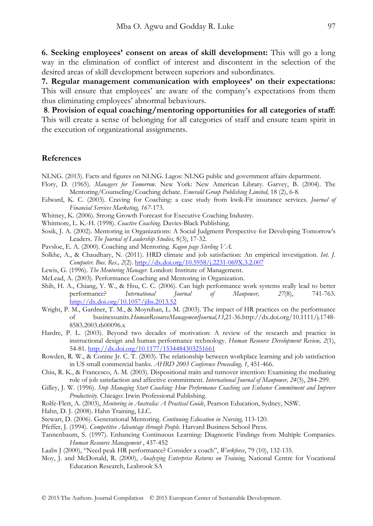**6. Seeking employees' consent on areas of skill development:** This will go a long way in the elimination of conflict of interest and discontent in the selection of the desired areas of skill development between superiors and subordinates.

**7. Regular management communication with employees' on their expectations:** This will ensure that employees' are aware of the company's expectations from them thus eliminating employees' abnormal bebaviours.

 **8**. **Provision of equal coaching/mentoring opportunities for all categories of staff:** This will create a sense of belonging for all categories of staff and ensure team spirit in the execution of organizational assignments.

#### **References**

- NLNG. (2013). Facts and figures on NLNG. Lagos: NLNG public and government affairs department.
- Flory, D. (1965). *Managers for Tomorrow.* New York: New American Library. Garvey, B. (2004). The Mentoring/Counseling/Coaching debate. *Emerald Group Publishing Limited,* 18 (2), 6-8.
- Edward, K. C. (2003). Craving for Coaching: a case study from kwik-Fit insurance services. *Journal of Financial Services Marketing, 167*-173.
- Whitney, K. (2006). Strong Growth Forecast for Executive Coaching Industry.
- Whitmore, L. K.-H. (1998). *Coactive Coaching.* Davies-Black Publishing.
- Sosik, J. A. (2002). Mentoring in Organizations: A Social Judgment Perspective for Developing Tomorrow's Leaders. *The Journal of Leadership Studies,* 8(3), 17-32.
- Pavsloe, E. A. (2000). Coaching and Mentoring. *Kagon page Sterling VA.*
- Solkhe, A., & Chaudhary, N. (2011). HRD climate and job satisfaction: An empirical investigation. *Int. J. Computer. Bus. Res., 2*(2). http://dx.doi.org/10.5958/j.2231-069X.3.2.007
- Lewis, G. (1996). *The Mentoring Manager.* London: Institute of Management.
- McLead, A. (2003). Performance Coaching and Mentoring in Organization.
- Shih, H. A., Chiang, Y. W., & Hsu, C. C. (2006). Can high performance work systems really lead to better performance? *International Journal of Manpower, 27*(8), 741-763. http://dx.doi.org/10.1057/jibs.2013.52
- Wright, P. M., Gardner, T. M., & Moynihan, L. M. (2003). The impact of HR practices on the performance of businessunits.*HumanResourceManagementJournal,13*,21-36.http://dx.doi.org/10.1111/j.1748- 8583.2003.tb00096.x
- Hardre, P. L. (2003). Beyond two decades of motivation: A review of the research and practice in instructional design and human performance technology. *Human Resource Development Review, 2*(1), 54-81. http://dx.doi.org/10.1177/1534484303251661
- Rowden, R. W., & Conine Jr. C. T. (2003). The relationship between workplace learning and job satisfaction in US small commercial banks. *AHRD 2003 Conference Proceeding, 1*, 451-466.
- Chiu, R. K., & Francesco, A. M. (2003). Dispositional traits and turnover intention: Examining the mediating role of job satisfaction and affective commitment. *International Journal of Manpower, 24*(3), 284-299.
- Gilley, J. W. (1996). *Stop Managing Start Coaching: How Performance Coaching can Enhance Commitment and Improve Productivity.* Chicago: Irwin Professional Publishing.
- Rolfe-Flett, A. (2003), *Mentoring in Australia: A Practical Guide*, Pearson Education, Sydney, NSW.
- Hahn, D. J. (2008). Hahn Training, LLC.
- Stewart, D. (2006). Generational Mentoring. *Continuing Education in Nursing,* 113-120.
- Pfeffer, J. (1994). *Competitive Advantage through People.* Harvard Business School Press.
- Tannenbaum, S. (1997). Enhancing Continuous Learning: Diagnostic Findings from Multiple Companies. *Human Resource Management* , 437-452
- Laabs J (2000), "Need peak HR performance? Consider a coach", *Workforce*, 79 (10), 132-135.
- Moy, J. and McDonald, R. (2000), *Analyzing Enterprise Returns on Training*, National Centre for Vocational Education Research, Leabrook SA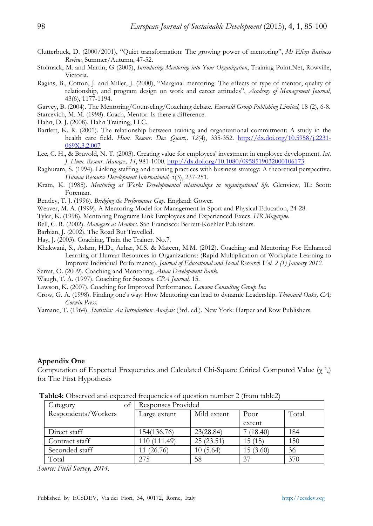- Clutterbuck, D. (2000/2001), "Quiet transformation: The growing power of mentoring", *Mt Eliza Business Review*, Summer/Autumn, 47-52.
- Stolmack, M. and Martin, G (2005), *Introducing Mentoring into Your Organization*, Training Point.Net, Rowville, Victoria.
- Ragins, B., Cotton, J. and Miller, J. (2000), "Marginal mentoring: The effects of type of mentor, quality of relationship, and program design on work and career attitudes", *Academy of Management Journal*, 43(6), 1177-1194.
- Garvey, B. (2004). The Mentoring/Counseling/Coaching debate. *Emerald Group Publishing Limited,* 18 (2), 6-8.
- Starcevich, M. M. (1998). Coach, Mentor: Is there a difference.
- Hahn, D. J. (2008). Hahn Training, LLC.
- Bartlett, K. R. (2001). The relationship between training and organizational commitment: A study in the health care field. *Hum. Resour. Dev. Quart., 12*(4), 335-352. http://dx.doi.org/10.5958/j.2231- 069X.3.2.007
- Lee, C. H., & Bruvold, N. T. (2003). Creating value for employees' investment in employee development. *Int. J. Hum. Resour. Manage., 14*, 981-1000. http://dx.doi.org/10.1080/0958519032000106173
- Raghuram, S. (1994). Linking staffing and training practices with business strategy: A theoretical perspective. *Human Resource Development International, 5*(3), 237-251.
- Kram, K. (1985). *Mentoring at Work: Developmental relationships in organizational life.* Glenview, IL: Scott: Foreman.
- Bentley, T. J. (1996). *Bridging the Performance Gap.* England: Gower.
- Weaver, M. A. (1999). A Mentoring Model for Management in Sport and Physical Education, 24-28.
- Tyler, K. (1998). Mentoring Programs Link Employees and Experienced Execs. *HR Magazine.*
- Bell, C. R. (2002). *Managers as Mentors.* San Francisco: Berrett-Koehler Publishers.
- Barbian, J. (2002). The Road But Travelled.
- Hay, J. (2003). Coaching, Train the Trainer. No.7.
- Khakwani, S., Aslam, H.D., Azhar, M.S. & Mateen, M.M. (2012). Coaching and Mentoring For Enhanced Learning of Human Resources in Organizations: (Rapid Multiplication of Workplace Learning to Improve Individual Performance). *Journal of Educational and Social Research Vol. 2 (1) January 2012.*
- Serrat, O. (2009). Coaching and Mentoring. *Asian Development Bank.*
- Waugh, T. A. (1997). Coaching for Success. *CPA Journal,* 15.
- Lawson, K. (2007). Coaching for Improved Performance. *Lawson Consulting Group Inc.*
- Crow, G. A. (1998). Finding one's way: How Mentoring can lead to dynamic Leadership. *Thousand Oaks, CA; Corwin Press.*
- Yamane, T. (1964). *Statistics: An Introduction Analysis* (3rd. ed.). New York: Harper and Row Publishers.

#### **Appendix One**

Computation of Expected Frequencies and Calculated Chi-Square Critical Computed Value ( $\gamma^2$ ) for The First Hypothesis

| Category<br>Оİ      | Responses Provided                  |           |          |     |
|---------------------|-------------------------------------|-----------|----------|-----|
| Respondents/Workers | Mild extent<br>Poor<br>Large extent |           | Total    |     |
|                     |                                     |           | extent   |     |
| Direct staff        | 154(136.76)                         | 23(28.84) | 7(18.40) | 184 |
| Contract staff      | 110 (111.49)                        | 25(23.51) | 15 (15)  | 150 |
| Seconded staff      | 11 (26.76)                          | 10(5.64)  | 15(3.60) | 36  |
| Total               | 275                                 | 58        | 37       | 370 |

**Table4:** Observed and expected frequencies of question number 2 (from table2)

*Source: Field Survey, 2014.*